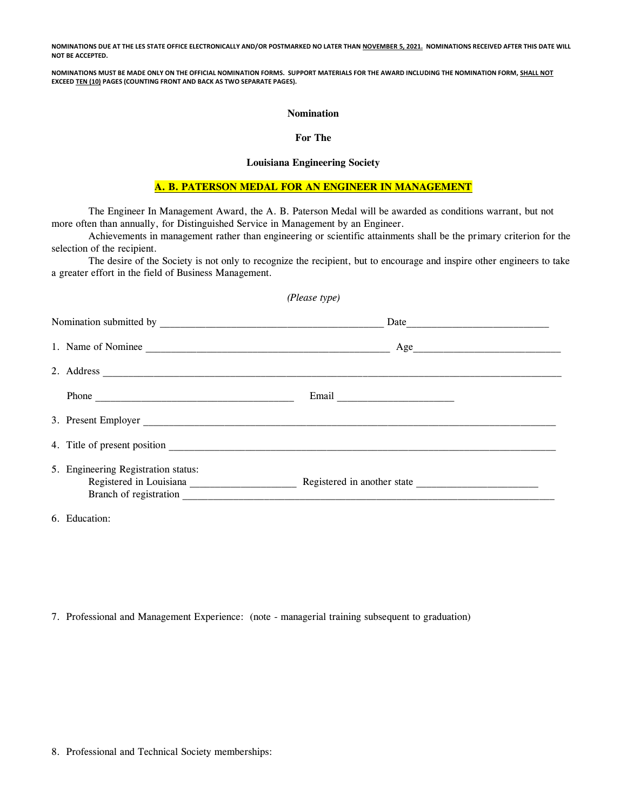**NOMINATIONS DUE AT THE LES STATE OFFICE ELECTRONICALLY AND/OR POSTMARKED NO LATER THAN NOVEMBER 5, 2021. NOMINATIONS RECEIVED AFTER THIS DATE WILL NOT BE ACCEPTED.**

**NOMINATIONS MUST BE MADE ONLY ON THE OFFICIAL NOMINATION FORMS. SUPPORT MATERIALS FOR THE AWARD INCLUDING THE NOMINATION FORM, SHALL NOT EXCEED TEN (10) PAGES (COUNTING FRONT AND BACK AS TWO SEPARATE PAGES).**

#### **Nomination**

### **For The**

#### **Louisiana Engineering Society**

## **A. B. PATERSON MEDAL FOR AN ENGINEER IN MANAGEMENT**

The Engineer In Management Award, the A. B. Paterson Medal will be awarded as conditions warrant, but not more often than annually, for Distinguished Service in Management by an Engineer.

Achievements in management rather than engineering or scientific attainments shall be the primary criterion for the selection of the recipient.

The desire of the Society is not only to recognize the recipient, but to encourage and inspire other engineers to take a greater effort in the field of Business Management.

*(Please type)*

| $\cdots$ $\cdots$                   |                                  |
|-------------------------------------|----------------------------------|
|                                     |                                  |
|                                     |                                  |
|                                     |                                  |
|                                     |                                  |
|                                     |                                  |
|                                     |                                  |
|                                     |                                  |
| 5. Engineering Registration status: | 1. Name of Nominee<br>2. Address |

6. Education:

7. Professional and Management Experience: (note - managerial training subsequent to graduation)

8. Professional and Technical Society memberships: